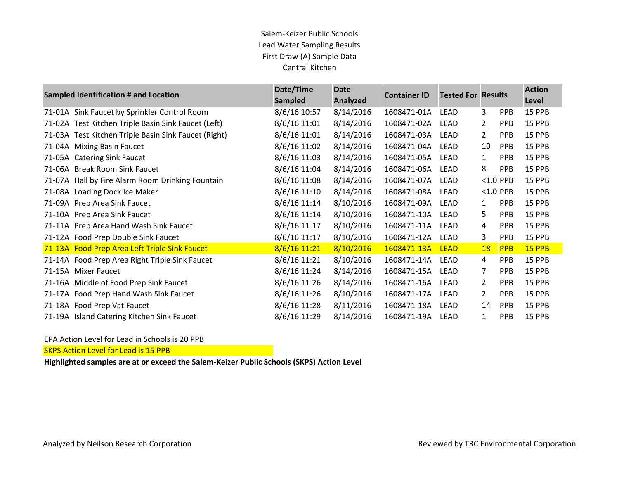### Salem-Keizer Public Schools Lead Water Sampling Results First Draw (A) Sample Data Central Kitchen

| <b>Sampled Identification # and Location</b> |                                                      | Date/Time<br><b>Sampled</b> | <b>Date</b><br>Analyzed | <b>Container ID</b> | <b>Tested For Results</b> |                |             | <b>Action</b><br>Level |
|----------------------------------------------|------------------------------------------------------|-----------------------------|-------------------------|---------------------|---------------------------|----------------|-------------|------------------------|
|                                              | 71-01A Sink Faucet by Sprinkler Control Room         | 8/6/16 10:57                | 8/14/2016               | 1608471-01A         | <b>LEAD</b>               | 3              | <b>PPB</b>  | 15 PPB                 |
|                                              | 71-02A Test Kitchen Triple Basin Sink Faucet (Left)  | 8/6/16 11:01                | 8/14/2016               | 1608471-02A         | <b>LEAD</b>               | 2              | <b>PPB</b>  | 15 PPB                 |
|                                              | 71-03A Test Kitchen Triple Basin Sink Faucet (Right) | 8/6/16 11:01                | 8/14/2016               | 1608471-03A         | <b>LEAD</b>               | $\overline{2}$ | <b>PPB</b>  | 15 PPB                 |
| 71-04A                                       | <b>Mixing Basin Faucet</b>                           | 8/6/16 11:02                | 8/14/2016               | 1608471-04A         | LEAD                      | 10             | <b>PPB</b>  | 15 PPB                 |
|                                              | 71-05A Catering Sink Faucet                          | 8/6/16 11:03                | 8/14/2016               | 1608471-05A         | LEAD                      | 1              | <b>PPB</b>  | 15 PPB                 |
| 71-06A                                       | <b>Break Room Sink Faucet</b>                        | 8/6/16 11:04                | 8/14/2016               | 1608471-06A         | <b>LEAD</b>               | 8              | <b>PPB</b>  | 15 PPB                 |
|                                              | 71-07A Hall by Fire Alarm Room Drinking Fountain     | 8/6/16 11:08                | 8/14/2016               | 1608471-07A         | LEAD                      |                | $< 1.0$ PPB | 15 PPB                 |
| 71-08A                                       | Loading Dock Ice Maker                               | 8/6/16 11:10                | 8/14/2016               | 1608471-08A         | LEAD                      |                | $< 1.0$ PPB | 15 PPB                 |
|                                              | 71-09A Prep Area Sink Faucet                         | 8/6/16 11:14                | 8/10/2016               | 1608471-09A         | LEAD                      | 1              | <b>PPB</b>  | 15 PPB                 |
|                                              | 71-10A Prep Area Sink Faucet                         | 8/6/16 11:14                | 8/10/2016               | 1608471-10A         | LEAD                      | 5              | <b>PPB</b>  | 15 PPB                 |
|                                              | 71-11A Prep Area Hand Wash Sink Faucet               | 8/6/16 11:17                | 8/10/2016               | 1608471-11A         | LEAD                      | 4              | <b>PPB</b>  | 15 PPB                 |
|                                              | 71-12A Food Prep Double Sink Faucet                  | 8/6/16 11:17                | 8/10/2016               | 1608471-12A         | LEAD                      | 3              | <b>PPB</b>  | 15 PPB                 |
|                                              | 71-13A Food Prep Area Left Triple Sink Faucet        | 8/6/16 11:21                | 8/10/2016               | 1608471-13A         | <b>LEAD</b>               | <b>18</b>      | <b>PPB</b>  | 15 PPB                 |
|                                              | 71-14A Food Prep Area Right Triple Sink Faucet       | 8/6/16 11:21                | 8/10/2016               | 1608471-14A         | LEAD                      | 4              | <b>PPB</b>  | 15 PPB                 |
|                                              | 71-15A Mixer Faucet                                  | 8/6/16 11:24                | 8/14/2016               | 1608471-15A         | <b>LEAD</b>               | 7              | <b>PPB</b>  | 15 PPB                 |
|                                              | 71-16A Middle of Food Prep Sink Faucet               | 8/6/16 11:26                | 8/14/2016               | 1608471-16A         | <b>LEAD</b>               | $\overline{2}$ | <b>PPB</b>  | 15 PPB                 |
|                                              | 71-17A Food Prep Hand Wash Sink Faucet               | 8/6/16 11:26                | 8/10/2016               | 1608471-17A         | LEAD                      | 2              | <b>PPB</b>  | 15 PPB                 |
|                                              | 71-18A Food Prep Vat Faucet                          | 8/6/16 11:28                | 8/11/2016               | 1608471-18A         | LEAD                      | 14             | <b>PPB</b>  | 15 PPB                 |
|                                              | 71-19A Island Catering Kitchen Sink Faucet           | 8/6/16 11:29                | 8/14/2016               | 1608471-19A         | <b>LEAD</b>               | 1              | <b>PPB</b>  | 15 PPB                 |

#### EPA Action Level for Lead in Schools is 20 PPB

SKPS Action Level for Lead is 15 PPB

**Highlighted samples are at or exceed the Salem-Keizer Public Schools (SKPS) Action Level**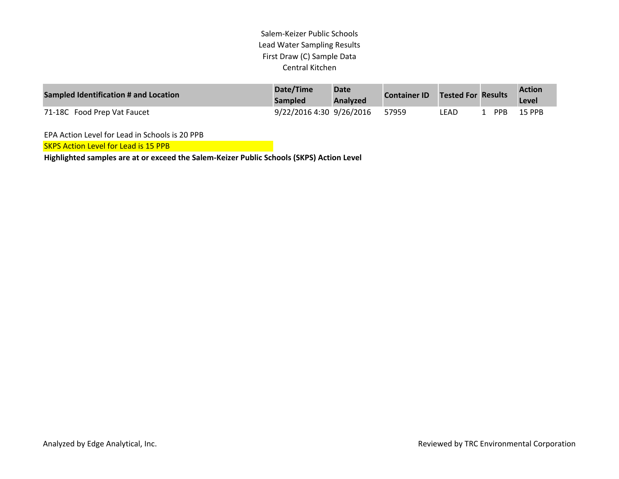### Salem‐Keizer Public Schools Lead Water Sampling Results First Draw (C) Sample Data Central Kitchen

| Sampled Identification # and Location | Date/Time<br>Sampled     | <b>Date</b><br>Analyzed | <b>Container ID</b> | Tested For Results |            | <b>Action</b><br>Level |
|---------------------------------------|--------------------------|-------------------------|---------------------|--------------------|------------|------------------------|
| 71-18C Food Prep Vat Faucet           | 9/22/2016 4:30 9/26/2016 |                         | 57959               | LEAD               | <b>PPR</b> | 15 PPR                 |

EPA Action Level for Lead in Schools is 20 PPB

SKPS Action Level for Lead is 15 PPB

**Highlighted samples are at or exceed the Salem‐Keizer Public Schools (SKPS) Action Level**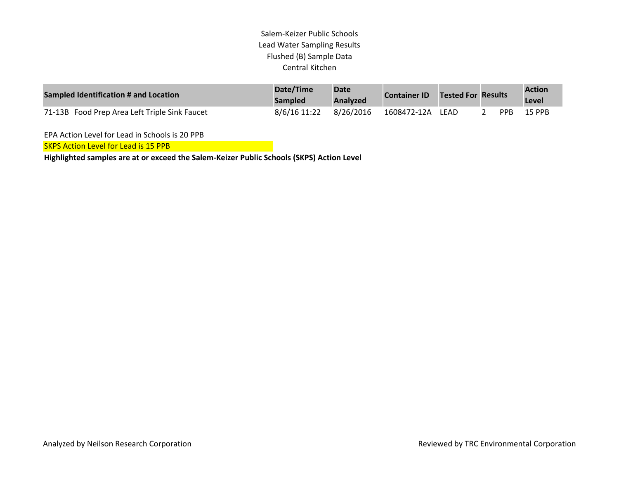## Salem-Keizer Public Schools Lead Water Sampling Results Flushed (B) Sample Data Central Kitchen

| Sampled Identification # and Location         | Date/Time<br><b>Sampled</b> | <b>Date</b><br>Analyzed | <b>Container ID</b> | <b>Tested For Results</b> |            | <b>Action</b><br>Level |
|-----------------------------------------------|-----------------------------|-------------------------|---------------------|---------------------------|------------|------------------------|
| 71-13B Food Prep Area Left Triple Sink Faucet | 8/6/16 11:22                | 8/26/2016               | 1608472-12A LEAD    |                           | <b>PPR</b> | <b>15 PPB</b>          |

EPA Action Level for Lead in Schools is 20 PPB

**SKPS Action Level for Lead is 15 PPB** 

**Highlighted samples are at or exceed the Salem-Keizer Public Schools (SKPS) Action Level**